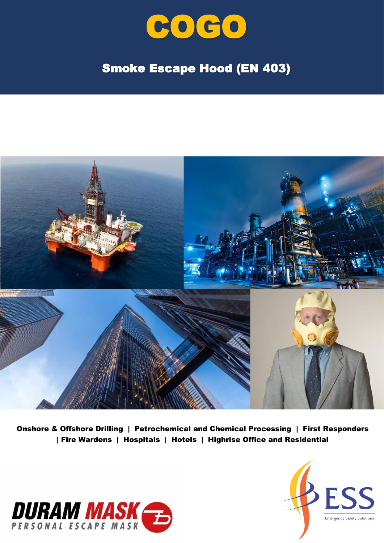

## Smoke Escape Hood (EN 403)



Onshore & Offshore Drilling | Petrochemical and Chemical Processing | First Responders | Fire Wardens | Hospitals | Hotels | Highrise Office and Residential



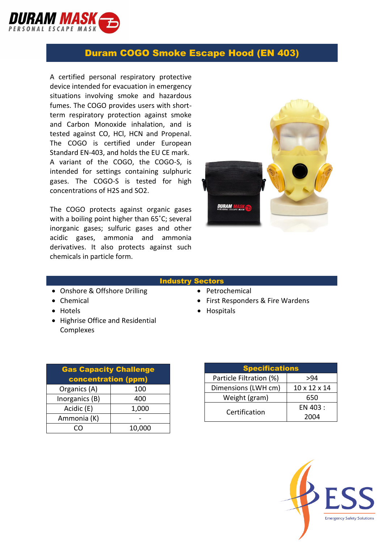

## Duram COGO Smoke Escape Hood (EN 403)

A certified personal respiratory protective device intended for evacuation in emergency situations involving smoke and hazardous fumes. The COGO provides users with shortterm respiratory protection against smoke and Carbon Monoxide inhalation, and is tested against CO, HCl, HCN and Propenal. The COGO is certified under European Standard EN-403, and holds the EU CE mark. A variant of the COGO, the COGO-S, is intended for settings containing sulphuric gases. The COGO-S is tested for high concentrations of H2S and SO2.

The COGO protects against organic gases with a boiling point higher than 65˚C; several inorganic gases; sulfuric gases and other acidic gases, ammonia and ammonia derivatives. It also protects against such chemicals in particle form.



## Industry Sectors

- Onshore & Offshore Drilling Petrochemical
- Chemical Chemical First Responders & Fire Wardens
- Hotels Hospitals
- Highrise Office and Residential Complexes

| <b>Gas Capacity Challenge</b> |        |  |
|-------------------------------|--------|--|
| <b>concentration (ppm)</b>    |        |  |
| Organics (A)                  | 100    |  |
| Inorganics (B)                | 400    |  |
| Acidic (E)                    | 1,000  |  |
| Ammonia (K)                   |        |  |
|                               | 10,000 |  |

| <b>Specifications</b>   |              |
|-------------------------|--------------|
| Particle Filtration (%) | >94          |
| Dimensions (LWH cm)     | 10 x 12 x 14 |
| Weight (gram)           | 650          |
| Certification           | EN 403 :     |
|                         | 2004         |

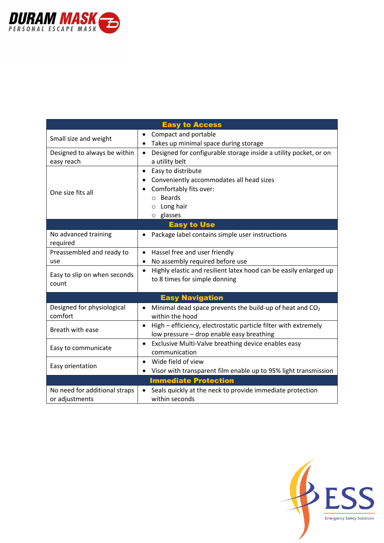

| <b>Easy to Access</b>                           |                                                                                                                           |  |
|-------------------------------------------------|---------------------------------------------------------------------------------------------------------------------------|--|
| Small size and weight                           | Compact and portable                                                                                                      |  |
|                                                 | Takes up minimal space during storage<br>$\bullet$                                                                        |  |
| Designed to always be within                    | Designed for configurable storage inside a utility pocket, or on<br>$\bullet$                                             |  |
| easy reach                                      | a utility belt                                                                                                            |  |
| One size fits all                               | Easy to distribute<br>$\bullet$                                                                                           |  |
|                                                 | Conveniently accommodates all head sizes<br>٠                                                                             |  |
|                                                 | Comfortably fits over:                                                                                                    |  |
|                                                 | <b>Beards</b><br>$\circ$                                                                                                  |  |
|                                                 | Long hair<br>$\circ$                                                                                                      |  |
|                                                 | o glasses                                                                                                                 |  |
| <b>Easy to Use</b>                              |                                                                                                                           |  |
| No advanced training<br>required                | Package label contains simple user instructions<br>٠                                                                      |  |
| Preassembled and ready to                       | Hassel free and user friendly<br>$\bullet$                                                                                |  |
| use                                             | No assembly required before use<br>٠                                                                                      |  |
| Easy to slip on when seconds<br>count           | Highly elastic and resilient latex hood can be easily enlarged up<br>$\bullet$<br>to 8 times for simple donning           |  |
| <b>Easy Navigation</b>                          |                                                                                                                           |  |
| Designed for physiological<br>comfort           | Minimal dead space prevents the build-up of heat and CO <sub>2</sub><br>$\bullet$<br>within the hood                      |  |
| Breath with ease                                | High - efficiency, electrostatic particle filter with extremely<br>$\bullet$<br>low pressure - drop enable easy breathing |  |
| Easy to communicate                             | Exclusive Multi-Valve breathing device enables easy<br>$\bullet$                                                          |  |
|                                                 | communication                                                                                                             |  |
| Easy orientation                                | Wide field of view<br>$\bullet$                                                                                           |  |
|                                                 | Visor with transparent film enable up to 95% light transmission                                                           |  |
| <b>Immediate Protection</b>                     |                                                                                                                           |  |
| No need for additional straps<br>or adjustments | Seals quickly at the neck to provide immediate protection<br>$\bullet$<br>within seconds                                  |  |